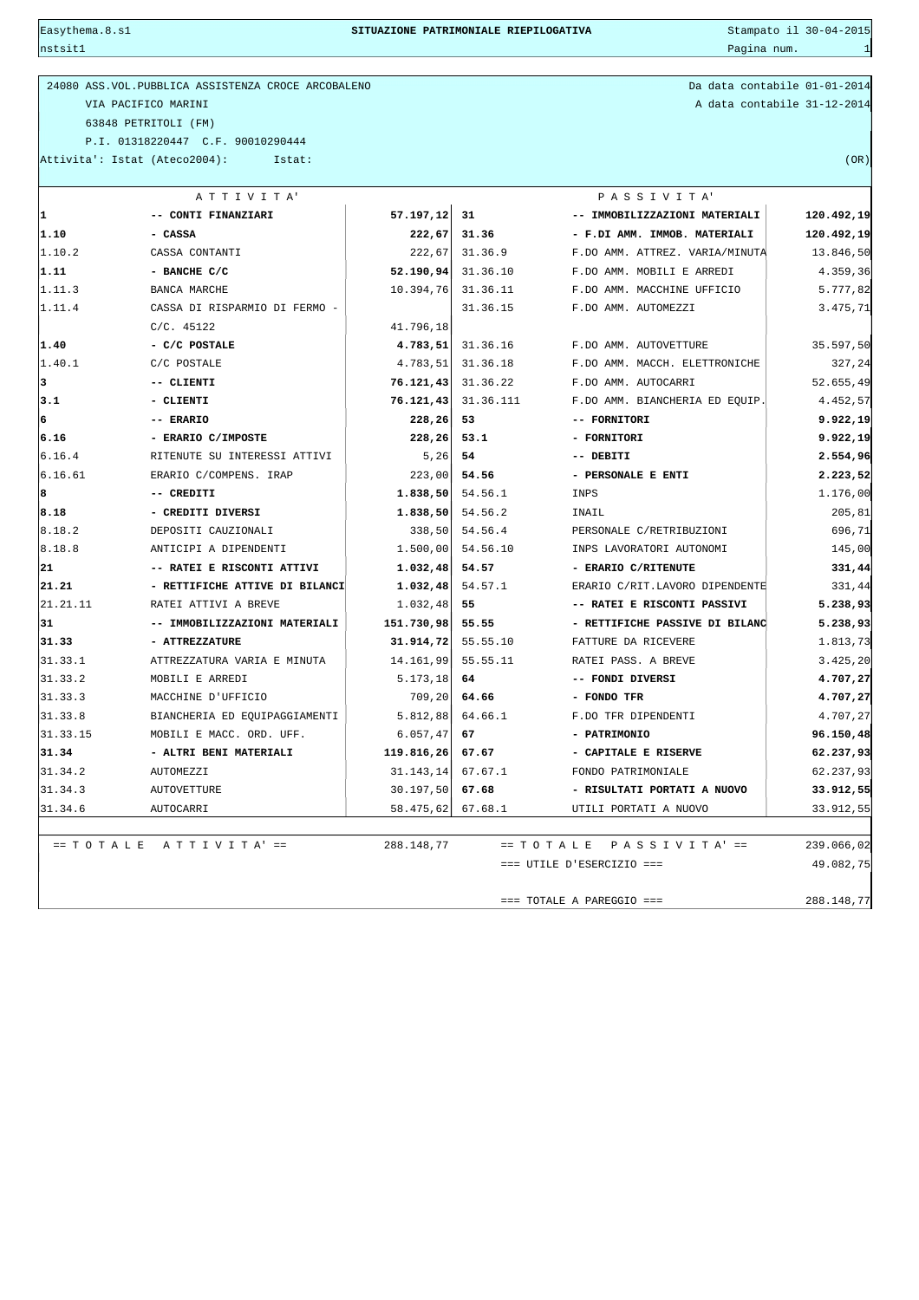$\frac{1}{2}$ nstsit $1$ 

24080 ASS.VOL.PUBBLICA ASSISTENZA CROCE ARCOBALENO Da data contabile 01-01-2014 VIA PACIFICO MARINI A data contabile 31-12-2014 63848 PETRITOLI (FM) P.I. 01318220447 C.F. 90010290444

Attivita': Istat (Ateco2004): Istat: (OR)

|          | ATTIVITA'                          |                   | PASSIVITA' |                                |                         |  |
|----------|------------------------------------|-------------------|------------|--------------------------------|-------------------------|--|
| ı.       | -- CONTI FINANZIARI                | 57.197, 12        | 31         | -- IMMOBILIZZAZIONI MATERIALI  | 120.492,19              |  |
| 1.10     | - CASSA                            | 222,67            | 31.36      | - F.DI AMM. IMMOB. MATERIALI   | 120.492,19<br>13.846,50 |  |
| 1.10.2   | CASSA CONTANTI                     | 222,67            | 31.36.9    | F.DO AMM. ATTREZ. VARIA/MINUTA |                         |  |
| 1.11     | - BANCHE C/C                       | 52.190, 94        | 31.36.10   | F.DO AMM. MOBILI E ARREDI      | 4.359,36                |  |
| 1.11.3   | BANCA MARCHE                       | 10.394,76         | 31.36.11   | F.DO AMM. MACCHINE UFFICIO     | 5.777,82                |  |
| 1.11.4   | CASSA DI RISPARMIO DI FERMO -      |                   | 31.36.15   | F.DO AMM. AUTOMEZZI            | 3.475, 71               |  |
|          | $C/C.$ 45122                       | 41.796,18         |            |                                |                         |  |
| 1.40     | - C/C POSTALE                      | 4.783, 51         | 31.36.16   | F.DO AMM. AUTOVETTURE          | 35.597,50               |  |
| 1.40.1   | C/C POSTALE                        | 4.783,51          | 31.36.18   | F.DO AMM. MACCH. ELETTRONICHE  | 327,24                  |  |
| 3        | -- CLIENTI                         | 76.121,43         | 31.36.22   | F.DO AMM. AUTOCARRI            | 52.655,49               |  |
| 3.1      | - CLIENTI                          | 76.121,43         | 31.36.111  | F.DO AMM. BIANCHERIA ED EOUIP. | 4.452,57                |  |
| 6        | -- ERARIO                          | 228,26            | 53         | -- FORNITORI                   | 9.922,19                |  |
| 6.16     | - ERARIO C/IMPOSTE                 | 228, 26           | 53.1       | - FORNITORI                    | 9.922,19                |  |
| 6.16.4   | RITENUTE SU INTERESSI ATTIVI       | 5,26              | 54         | -- DEBITI                      | 2.554,96                |  |
| 6.16.61  | ERARIO C/COMPENS. IRAP             | 223,00            | 54.56      | - PERSONALE E ENTI             | 2.223,52                |  |
| 8        | -- CREDITI                         | 1.838, 50         | 54.56.1    | INPS                           | 1.176,00                |  |
| 8.18     | - CREDITI DIVERSI                  | 1.838,50          | 54.56.2    | INAIL                          | 205,81                  |  |
| 8.18.2   | DEPOSITI CAUZIONALI                | 338,50            | 54.56.4    | PERSONALE C/RETRIBUZIONI       | 696,71                  |  |
| 8.18.8   | ANTICIPI A DIPENDENTI              | 1.500,00          | 54.56.10   | INPS LAVORATORI AUTONOMI       | 145,00                  |  |
| 21       | -- RATEI E RISCONTI ATTIVI         | 1.032,48          | 54.57      | - ERARIO C/RITENUTE            | 331,44                  |  |
| 21.21    | - RETTIFICHE ATTIVE DI BILANCI     | 1.032,48          | 54.57.1    | ERARIO C/RIT.LAVORO DIPENDENTE | 331,44                  |  |
| 21.21.11 | RATEI ATTIVI A BREVE               | 1.032,48          | 55         | -- RATEI E RISCONTI PASSIVI    | 5.238,93                |  |
| 31       | -- IMMOBILIZZAZIONI MATERIALI      | 151.730,98        | 55.55      | - RETTIFICHE PASSIVE DI BILANC | 5.238,93                |  |
| 31.33    | - ATTREZZATURE                     | 31.914, 72        | 55.55.10   | FATTURE DA RICEVERE            | 1.813,73                |  |
| 31.33.1  | ATTREZZATURA VARIA E MINUTA        | 14.161,99         | 55.55.11   | RATEI PASS. A BREVE            | 3.425,20                |  |
| 31.33.2  | MOBILI E ARREDI                    | 5.173, 18         | 64         | -- FONDI DIVERSI               | 4.707,27                |  |
| 31.33.3  | MACCHINE D'UFFICIO                 | 709,20            | 64.66      | - FONDO TFR                    | 4.707,27                |  |
| 31.33.8  | BIANCHERIA ED EQUIPAGGIAMENTI      | 5.812,88          | 64.66.1    | F.DO TFR DIPENDENTI            | 4.707,27                |  |
| 31.33.15 | MOBILI E MACC. ORD. UFF.           | 6.057, 47         | 67         | - PATRIMONIO                   | 96.150,48               |  |
| 31.34    | - ALTRI BENI MATERIALI             | 119.816, 26       | 67.67      | - CAPITALE E RISERVE           | 62.237,93               |  |
| 31.34.2  | AUTOMEZZI                          | 31.143, 14        | 67.67.1    | FONDO PATRIMONIALE             | 62.237,93               |  |
| 31.34.3  | <b>AUTOVETTURE</b>                 | 30.197,50         | 67.68      | - RISULTATI PORTATI A NUOVO    | 33.912,55               |  |
| 31.34.6  | AUTOCARRI                          | 58.475,62 67.68.1 |            | UTILI PORTATI A NUOVO          | 33.912,55               |  |
|          |                                    |                   |            |                                |                         |  |
|          | $= T O T A L E A T T I V I T A' =$ | 288.148,77        |            | == TOTALE PASSIVITA' ==        | 239.066,02              |  |
|          |                                    |                   |            | $==$ UTILE D'ESERCIZIO ===     | 49.082,75               |  |
|          |                                    |                   |            |                                |                         |  |
|          |                                    |                   |            | $==$ TOTALE A PAREGGIO $==$    | 288.148,77              |  |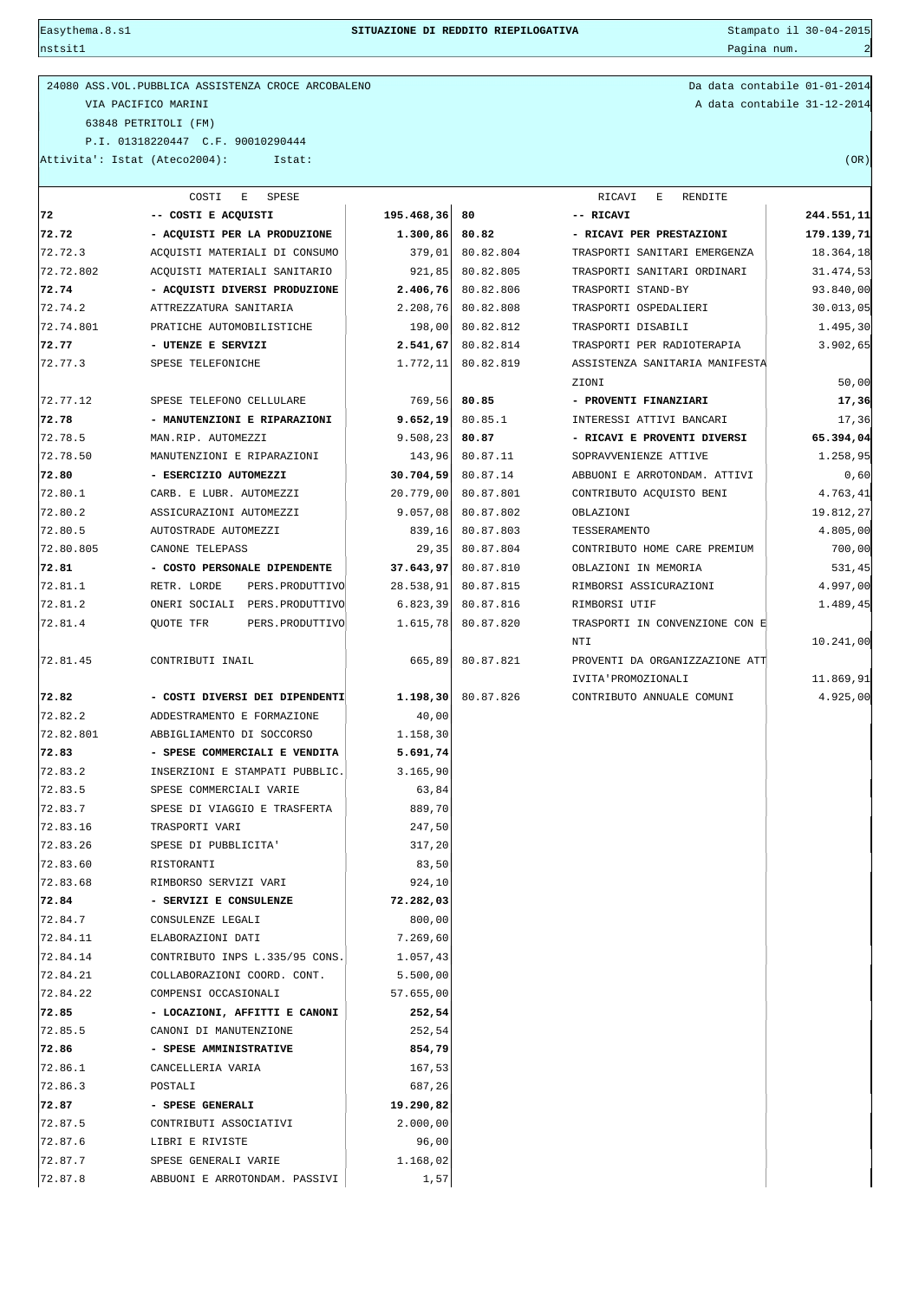nstsit1 Pagina num. 2007. Pagina num. 2008. Pagina num. 2008. Pagina num. 2008. Pagina num. 2008. Pagina num. 2008. Pagina num. 2008. Pagina num. 2008. Pagina num. 2008. Pagina num. 2008. Pagina num. 2008. Pagina num. 2008

| 24080 ASS. VOL. PUBBLICA ASSISTENZA CROCE ARCOBALENO | Da data contabile 01-01-2014 |
|------------------------------------------------------|------------------------------|
| VIA PACIFICO MARINI                                  | A data contabile 31-12-2014  |
| 63848 PETRITOLI (FM)                                 |                              |
| P.I. 01318220447 C.F. 90010290444                    |                              |
| Attivita': Istat (Ateco2004):<br>Istat:              | (OR)                         |

Da data contabile 01-01-2014 A data contabile 31-12-2014

|           | COSTI<br>Е<br>SPESE                  |            | RICAVI<br>Е<br>RENDITE |                                |            |  |  |  |
|-----------|--------------------------------------|------------|------------------------|--------------------------------|------------|--|--|--|
| 72        | -- COSTI E ACQUISTI                  | 195.468,36 | 80                     | -- RICAVI                      | 244.551,11 |  |  |  |
| 72.72     | - ACQUISTI PER LA PRODUZIONE         | 1.300, 86  | 80.82                  | - RICAVI PER PRESTAZIONI       | 179.139,71 |  |  |  |
| 72.72.3   | ACQUISTI MATERIALI DI CONSUMO        | 379,01     | 80.82.804              | TRASPORTI SANITARI EMERGENZA   | 18.364,18  |  |  |  |
| 72.72.802 | ACQUISTI MATERIALI SANITARIO         | 921,85     | 80.82.805              | TRASPORTI SANITARI ORDINARI    | 31.474,53  |  |  |  |
| 72.74     | - ACQUISTI DIVERSI PRODUZIONE        | 2.406, 76  | 80.82.806              | TRASPORTI STAND-BY             | 93.840,00  |  |  |  |
| 72.74.2   | ATTREZZATURA SANITARIA               | 2.208,76   | 80.82.808              | TRASPORTI OSPEDALIERI          | 30.013,05  |  |  |  |
| 72.74.801 | PRATICHE AUTOMOBILISTICHE            | 198,00     | 80.82.812              | TRASPORTI DISABILI             | 1.495, 30  |  |  |  |
| 72.77     | - UTENZE E SERVIZI                   | 2.541, 67  | 80.82.814              | TRASPORTI PER RADIOTERAPIA     | 3.902,65   |  |  |  |
| 72.77.3   | SPESE TELEFONICHE                    | 1.772, 11  | 80.82.819              | ASSISTENZA SANITARIA MANIFESTA |            |  |  |  |
|           |                                      |            |                        | ZIONI                          | 50,00      |  |  |  |
| 72.77.12  | SPESE TELEFONO CELLULARE             | 769,56     | 80.85                  | - PROVENTI FINANZIARI          | 17,36      |  |  |  |
| 72.78     | - MANUTENZIONI E RIPARAZIONI         | 9.652,19   | 80.85.1                | INTERESSI ATTIVI BANCARI       | 17,36      |  |  |  |
| 72.78.5   | MAN.RIP. AUTOMEZZI                   | 9.508, 23  | 80.87                  | - RICAVI E PROVENTI DIVERSI    | 65.394,04  |  |  |  |
| 72.78.50  | MANUTENZIONI E RIPARAZIONI           | 143,96     | 80.87.11               | SOPRAVVENIENZE ATTIVE          | 1.258,95   |  |  |  |
| 72.80     | - ESERCIZIO AUTOMEZZI                | 30.704,59  | 80.87.14               | ABBUONI E ARROTONDAM. ATTIVI   | 0,60       |  |  |  |
| 72.80.1   | CARB. E LUBR. AUTOMEZZI              | 20.779,00  | 80.87.801              | CONTRIBUTO ACQUISTO BENI       | 4.763,41   |  |  |  |
| 72.80.2   | ASSICURAZIONI AUTOMEZZI              | 9.057,08   | 80.87.802              | OBLAZIONI                      | 19.812,27  |  |  |  |
| 72.80.5   | AUTOSTRADE AUTOMEZZI                 | 839,16     | 80.87.803              | TESSERAMENTO                   | 4.805,00   |  |  |  |
| 72.80.805 | CANONE TELEPASS                      | 29,35      | 80.87.804              | CONTRIBUTO HOME CARE PREMIUM   | 700,00     |  |  |  |
| 72.81     | - COSTO PERSONALE DIPENDENTE         | 37.643,97  | 80.87.810              | OBLAZIONI IN MEMORIA           | 531,45     |  |  |  |
| 72.81.1   | RETR. LORDE<br>PERS. PRODUTTIVO      | 28.538,91  | 80.87.815              | RIMBORSI ASSICURAZIONI         | 4.997,00   |  |  |  |
| 72.81.2   | ONERI SOCIALI PERS. PRODUTTIVO       | 6.823, 39  | 80.87.816              | RIMBORSI UTIF                  | 1.489,45   |  |  |  |
| 72.81.4   | <b>OUOTE TFR</b><br>PERS. PRODUTTIVO | 1.615,78   | 80.87.820              | TRASPORTI IN CONVENZIONE CON E |            |  |  |  |
|           |                                      |            |                        | NTI                            | 10.241,00  |  |  |  |
| 72.81.45  | CONTRIBUTI INAIL                     | 665,89     | 80.87.821              | PROVENTI DA ORGANIZZAZIONE ATT |            |  |  |  |
|           |                                      |            |                        | IVITA' PROMOZIONALI            | 11.869,91  |  |  |  |
| 72.82     | - COSTI DIVERSI DEI DIPENDENTI       | 1.198, 30  | 80.87.826              | CONTRIBUTO ANNUALE COMUNI      | 4.925,00   |  |  |  |
| 72.82.2   | ADDESTRAMENTO E FORMAZIONE           | 40,00      |                        |                                |            |  |  |  |
| 72.82.801 | ABBIGLIAMENTO DI SOCCORSO            | 1.158,30   |                        |                                |            |  |  |  |
| 72.83     | - SPESE COMMERCIALI E VENDITA        | 5.691,74   |                        |                                |            |  |  |  |
| 72.83.2   | INSERZIONI E STAMPATI PUBBLIC.       | 3.165,90   |                        |                                |            |  |  |  |
| 72.83.5   | SPESE COMMERCIALI VARIE              | 63,84      |                        |                                |            |  |  |  |
| 72.83.7   | SPESE DI VIAGGIO E TRASFERTA         | 889,70     |                        |                                |            |  |  |  |
| 72.83.16  | TRASPORTI VARI                       | 247,50     |                        |                                |            |  |  |  |
| 72.83.26  | SPESE DI PUBBLICITA'                 | 317,20     |                        |                                |            |  |  |  |
| 72.83.60  | RISTORANTI                           | 83,50      |                        |                                |            |  |  |  |
| 72.83.68  | RIMBORSO SERVIZI VARI                | 924,10     |                        |                                |            |  |  |  |
| 72.84     | - SERVIZI E CONSULENZE               | 72.282,03  |                        |                                |            |  |  |  |
| 72.84.7   | CONSULENZE LEGALI                    | 800,00     |                        |                                |            |  |  |  |
| 72.84.11  | ELABORAZIONI DATI                    | 7.269,60   |                        |                                |            |  |  |  |
| 72.84.14  | CONTRIBUTO INPS L.335/95 CONS.       | 1.057,43   |                        |                                |            |  |  |  |
| 72.84.21  | COLLABORAZIONI COORD. CONT.          | 5.500,00   |                        |                                |            |  |  |  |
| 72.84.22  | COMPENSI OCCASIONALI                 | 57.655,00  |                        |                                |            |  |  |  |
| 72.85     | - LOCAZIONI, AFFITTI E CANONI        | 252,54     |                        |                                |            |  |  |  |
| 72.85.5   | CANONI DI MANUTENZIONE               | 252,54     |                        |                                |            |  |  |  |
| 72.86     | - SPESE AMMINISTRATIVE               | 854,79     |                        |                                |            |  |  |  |
| 72.86.1   | CANCELLERIA VARIA                    | 167,53     |                        |                                |            |  |  |  |
| 72.86.3   | POSTALI                              | 687,26     |                        |                                |            |  |  |  |
| 72.87     | - SPESE GENERALI                     | 19.290,82  |                        |                                |            |  |  |  |
| 72.87.5   | CONTRIBUTI ASSOCIATIVI               | 2.000,00   |                        |                                |            |  |  |  |
| 72.87.6   | LIBRI E RIVISTE                      | 96,00      |                        |                                |            |  |  |  |
| 72.87.7   | SPESE GENERALI VARIE                 | 1.168,02   |                        |                                |            |  |  |  |
| 72.87.8   | ABBUONI E ARROTONDAM. PASSIVI        | 1,57       |                        |                                |            |  |  |  |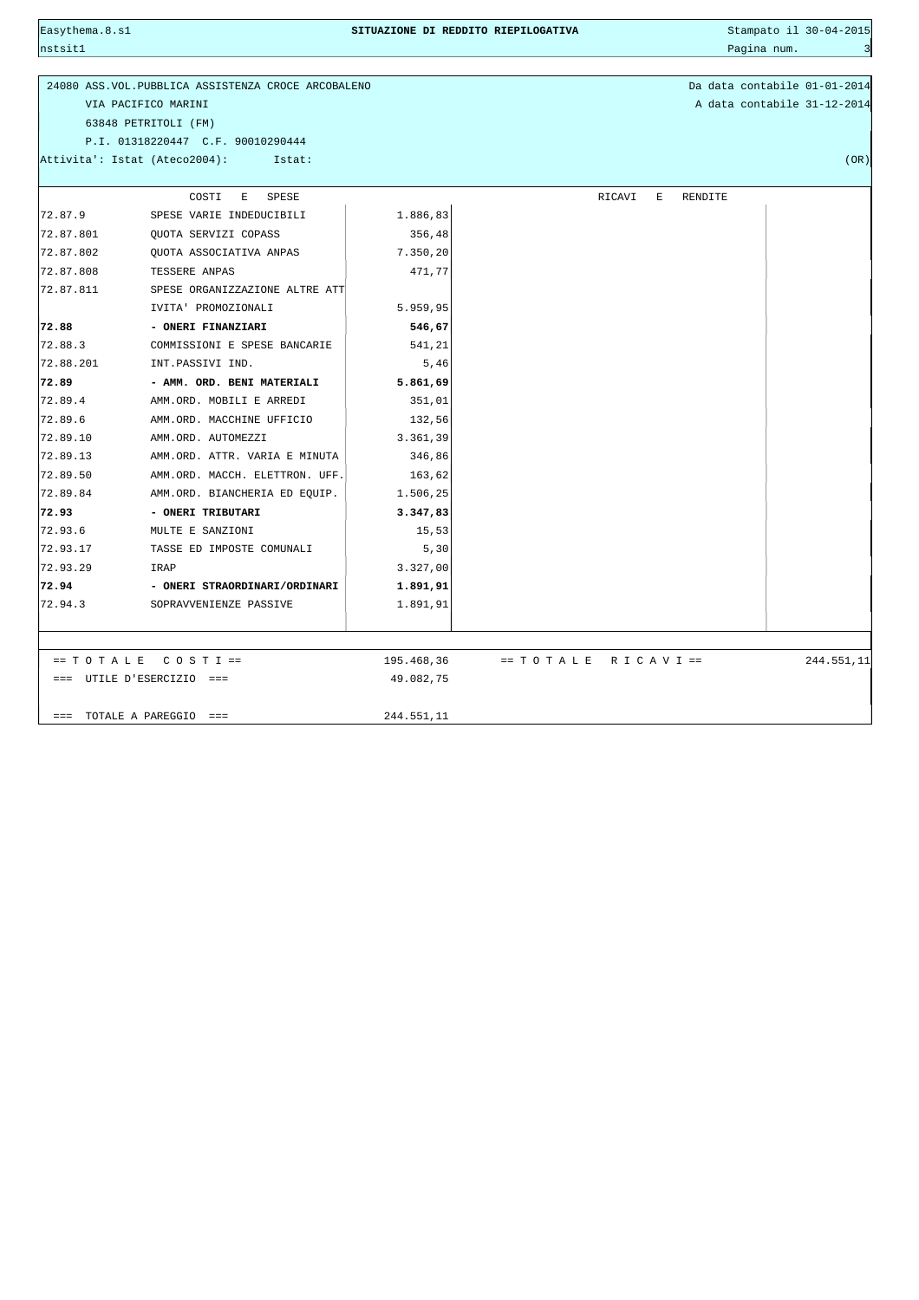| Easythema.8.sl |                                                      | SITUAZIONE DI REDDITO RIEPILOGATIVA |                          |        | Stampato il 30-04-2015 |         |             |                              |
|----------------|------------------------------------------------------|-------------------------------------|--------------------------|--------|------------------------|---------|-------------|------------------------------|
| nstsit1        |                                                      |                                     |                          |        |                        |         | Pagina num. | $\overline{\mathbf{3}}$      |
|                |                                                      |                                     |                          |        |                        |         |             |                              |
|                | 24080 ASS. VOL. PUBBLICA ASSISTENZA CROCE ARCOBALENO |                                     |                          |        |                        |         |             | Da data contabile 01-01-2014 |
|                | VIA PACIFICO MARINI                                  |                                     |                          |        |                        |         |             | A data contabile 31-12-2014  |
|                | 63848 PETRITOLI (FM)                                 |                                     |                          |        |                        |         |             |                              |
|                | P.I. 01318220447 C.F. 90010290444                    |                                     |                          |        |                        |         |             |                              |
|                | Attivita': Istat (Ateco2004):<br>Istat:              |                                     |                          |        |                        |         |             | (OR)                         |
|                |                                                      |                                     |                          |        |                        |         |             |                              |
|                | SPESE<br>COSTI<br>Е                                  |                                     |                          | RICAVI | Ε                      | RENDITE |             |                              |
| 72.87.9        | SPESE VARIE INDEDUCIBILI                             | 1.886,83                            |                          |        |                        |         |             |                              |
| 72.87.801      | QUOTA SERVIZI COPASS                                 | 356,48                              |                          |        |                        |         |             |                              |
| 72.87.802      | QUOTA ASSOCIATIVA ANPAS                              | 7.350,20                            |                          |        |                        |         |             |                              |
| 72.87.808      | TESSERE ANPAS                                        | 471,77                              |                          |        |                        |         |             |                              |
| 72.87.811      | SPESE ORGANIZZAZIONE ALTRE ATT                       |                                     |                          |        |                        |         |             |                              |
|                | IVITA' PROMOZIONALI                                  | 5.959,95                            |                          |        |                        |         |             |                              |
| 72.88          | - ONERI FINANZIARI                                   | 546,67                              |                          |        |                        |         |             |                              |
| 72.88.3        | COMMISSIONI E SPESE BANCARIE                         | 541,21                              |                          |        |                        |         |             |                              |
| 72.88.201      | INT.PASSIVI IND.                                     | 5,46                                |                          |        |                        |         |             |                              |
| 72.89          | - AMM. ORD. BENI MATERIALI                           | 5.861,69                            |                          |        |                        |         |             |                              |
| 72.89.4        | AMM.ORD. MOBILI E ARREDI                             | 351,01                              |                          |        |                        |         |             |                              |
| 72.89.6        | AMM.ORD. MACCHINE UFFICIO                            | 132,56                              |                          |        |                        |         |             |                              |
| 72.89.10       | AMM.ORD. AUTOMEZZI                                   | 3.361,39                            |                          |        |                        |         |             |                              |
| 72.89.13       | AMM.ORD. ATTR. VARIA E MINUTA                        | 346,86                              |                          |        |                        |         |             |                              |
| 72.89.50       | AMM.ORD. MACCH. ELETTRON. UFF.                       | 163,62                              |                          |        |                        |         |             |                              |
| 72.89.84       | AMM.ORD. BIANCHERIA ED EQUIP.                        | 1.506,25                            |                          |        |                        |         |             |                              |
| 72.93          | - ONERI TRIBUTARI                                    | 3.347,83                            |                          |        |                        |         |             |                              |
| 72.93.6        | MULTE E SANZIONI                                     | 15,53                               |                          |        |                        |         |             |                              |
| 72.93.17       | TASSE ED IMPOSTE COMUNALI                            | 5, 30                               |                          |        |                        |         |             |                              |
| 72.93.29       | IRAP                                                 | 3.327,00                            |                          |        |                        |         |             |                              |
| 72.94          | - ONERI STRAORDINARI/ORDINARI                        | 1.891,91                            |                          |        |                        |         |             |                              |
| 72.94.3        | SOPRAVVENIENZE PASSIVE                               | 1.891,91                            |                          |        |                        |         |             |                              |
|                |                                                      |                                     |                          |        |                        |         |             |                              |
|                |                                                      |                                     |                          |        |                        |         |             |                              |
|                | $= TOTALE COSTI =$                                   | 195.468,36                          | $== TO T ALE R ICAVI ==$ |        |                        |         |             | 244.551,11                   |
|                | === UTILE D'ESERCIZIO ===                            | 49.082,75                           |                          |        |                        |         |             |                              |
|                |                                                      |                                     |                          |        |                        |         |             |                              |
| $=$ $=$ $=$    | TOTALE A PAREGGIO ===                                | 244.551,11                          |                          |        |                        |         |             |                              |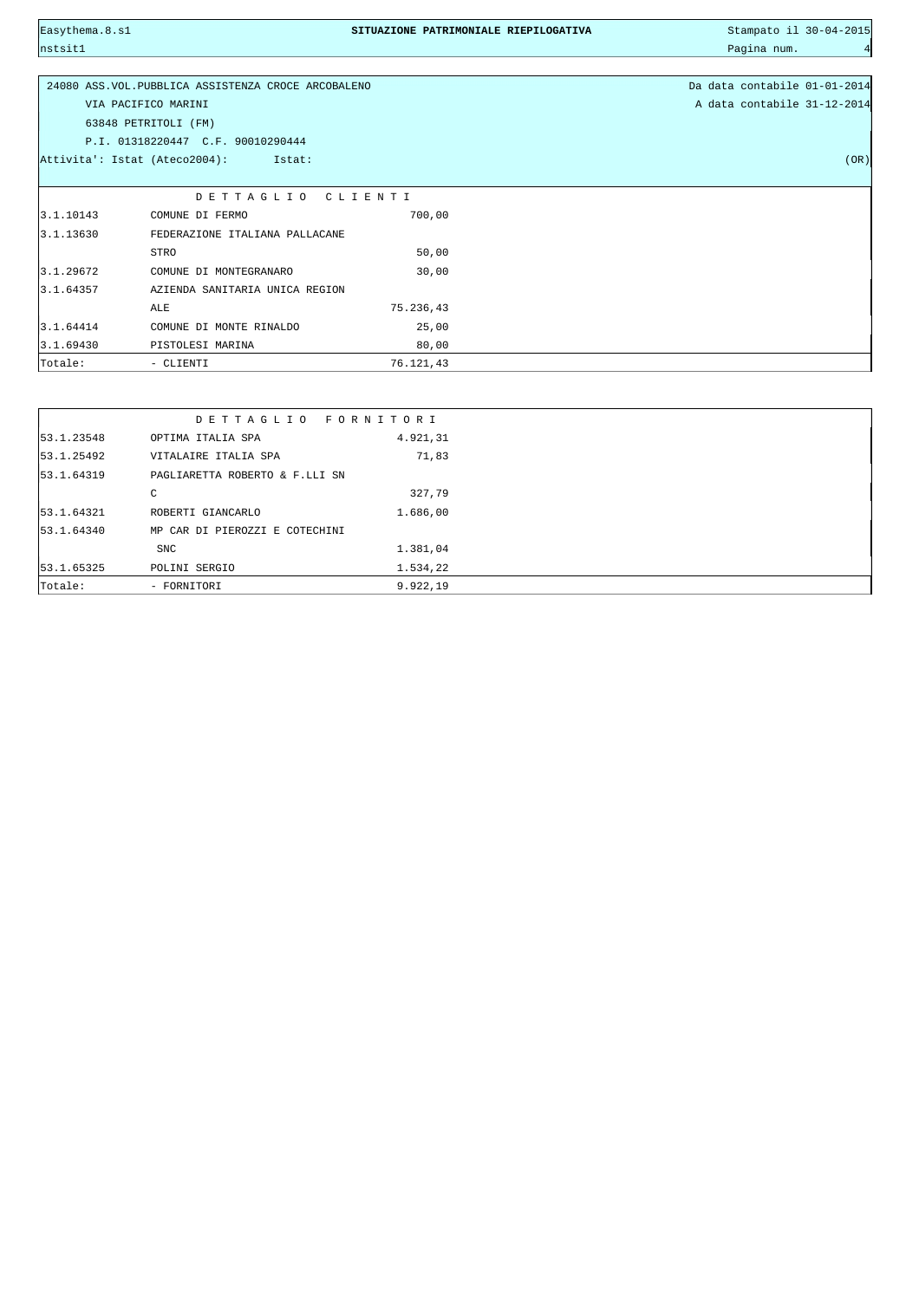nstsit1 Pagina num. 4

## Easythema.8.s1 **SITUAZIONE PATRIMONIALE RIEPILOGATIVA** Stampato il 30-04-2015

|           | 24080 ASS. VOL. PUBBLICA ASSISTENZA CROCE ARCOBALENO |           | Da data contabile 01-01-2014 |
|-----------|------------------------------------------------------|-----------|------------------------------|
|           | VIA PACIFICO MARINI                                  |           | A data contabile 31-12-2014  |
|           | 63848 PETRITOLI (FM)                                 |           |                              |
|           | P.I. 01318220447 C.F. 90010290444                    |           |                              |
|           | Attivita': Istat (Ateco2004):<br>Istat:              |           | (OR)                         |
|           |                                                      |           |                              |
|           | DETTAGLIO                                            | CLIENTI   |                              |
| 3.1.10143 | COMUNE DI FERMO                                      | 700,00    |                              |
| 3.1.13630 | FEDERAZIONE ITALIANA PALLACANE                       |           |                              |
|           | STRO                                                 | 50,00     |                              |
| 3.1.29672 | COMUNE DI MONTEGRANARO                               | 30,00     |                              |
| 3.1.64357 | AZIENDA SANITARIA UNICA REGION                       |           |                              |
|           | ALE                                                  | 75.236,43 |                              |
| 3.1.64414 | COMUNE DI MONTE RINALDO                              | 25,00     |                              |
| 3.1.69430 | PISTOLESI MARINA                                     | 80,00     |                              |
| Totale:   | - CLIENTI                                            | 76.121,43 |                              |

|            | DETTAGLIO FORNITORI            |          |  |
|------------|--------------------------------|----------|--|
| 53.1.23548 | OPTIMA ITALIA SPA              | 4.921,31 |  |
| 53.1.25492 | VITALAIRE ITALIA SPA           | 71,83    |  |
| 53.1.64319 | PAGLIARETTA ROBERTO & F.LLI SN |          |  |
|            | C                              | 327,79   |  |
| 53.1.64321 | ROBERTI GIANCARLO              | 1.686,00 |  |
| 53.1.64340 | MP CAR DI PIEROZZI E COTECHINI |          |  |
|            | <b>SNC</b>                     | 1.381,04 |  |
| 53.1.65325 | POLINI SERGIO                  | 1.534,22 |  |
| Totale:    | - FORNITORI                    | 9.922,19 |  |